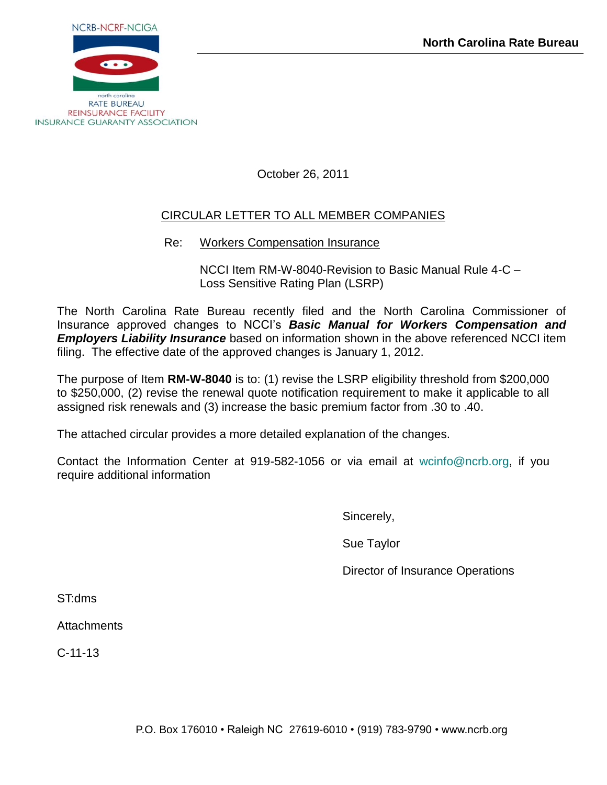

October 26, 2011

# CIRCULAR LETTER TO ALL MEMBER COMPANIES

Re: Workers Compensation Insurance

NCCI Item RM-W-8040-Revision to Basic Manual Rule 4-C – Loss Sensitive Rating Plan (LSRP)

The North Carolina Rate Bureau recently filed and the North Carolina Commissioner of Insurance approved changes to NCCI's *Basic Manual for Workers Compensation and Employers Liability Insurance* based on information shown in the above referenced NCCI item filing. The effective date of the approved changes is January 1, 2012.

The purpose of Item **RM-W-8040** is to: (1) revise the LSRP eligibility threshold from \$200,000 to \$250,000, (2) revise the renewal quote notification requirement to make it applicable to all assigned risk renewals and (3) increase the basic premium factor from .30 to .40.

The attached circular provides a more detailed explanation of the changes.

Contact the Information Center at 919-582-1056 or via email at [wcinfo@ncrb.org,](mailto:wcinfo@ncrb.org) if you require additional information

Sincerely,

Sue Taylor

Director of Insurance Operations

ST:dms

**Attachments** 

C-11-13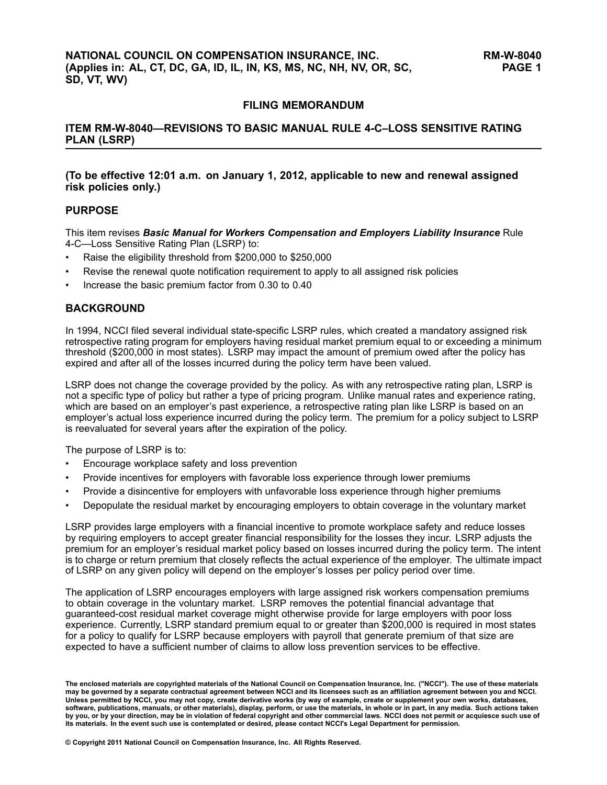### **FILING MEMORANDUM**

**ITEM RM-W-8040—REVISIONS TO BASIC MANUAL RULE 4-C–LOSS SENSITIVE RATING PLAN (LSRP)**

**(To be effective 12:01 a.m. on January 1, 2012, applicable to new and renewal assigned risk policies only.)**

### **PURPOSE**

This item revises *Basic Manual for Workers Compensation and Employers Liability Insurance* Rule 4-C—Loss Sensitive Rating Plan (LSRP) to:

- •Raise the eligibility threshold from \$200,000 to \$250,000
- •Revise the renewal quote notification requirement to apply to all assigned risk policies
- •Increase the basic premium factor from 0.30 to 0.40

### **BACKGROUND**

In 1994, NCCI filed several individual state-specific LSRP rules, which created <sup>a</sup> mandatory assigned risk retrospective rating program for employers having residual market premium equal to or exceeding <sup>a</sup> minimum threshold (\$200,000 in most states). LSRP may impact the amount of premium owed after the policy has expired and after all of the losses incurred during the policy term have been valued.

LSRP does not change the coverage provided by the policy. As with any retrospective rating plan, LSRP is not <sup>a</sup> specific type of policy but rather <sup>a</sup> type of pricing program. Unlike manual rates and experience rating, which are based on an employer's past experience, <sup>a</sup> retrospective rating plan like LSRP is based on an employer's actual loss experience incurred during the policy term. The premium for <sup>a</sup> policy subject to LSRP is reevaluated for several years after the expiration of the policy.

The purpose of LSRP is to:

- •Encourage workplace safety and loss prevention
- •Provide incentives for employers with favorable loss experience through lower premiums
- •Provide <sup>a</sup> disincentive for employers with unfavorable loss experience through higher premiums
- •Depopulate the residual market by encouraging employers to obtain coverage in the voluntary market

LSRP provides large employers with <sup>a</sup> financial incentive to promote workplace safety and reduce losses by requiring employers to accept greater financial responsibility for the losses they incur. LSRP adjusts the premium for an employer's residual market policy based on losses incurred during the policy term. The intent is to charge or return premium that closely reflects the actual experience of the employer. The ultimate impact of LSRP on any given policy will depend on the employer's losses per policy period over time.

The application of LSRP encourages employers with large assigned risk workers compensation premiums to obtain coverage in the voluntary market. LSRP removes the potential financial advantage that guaranteed-cost residual market coverage might otherwise provide for large employers with poor loss experience. Currently, LSRP standard premium equal to or greater than \$200,000 is required in most states for <sup>a</sup> policy to qualify for LSRP because employers with payroll that generate premium of that size are expected to have <sup>a</sup> sufficient number of claims to allow loss prevention services to be effective.

The enclosed materials are copyrighted materials of the National Council on Compensation Insurance, Inc. ("NCCI"). The use of these materials<br>may be governed by a separate contractual agreement between NCCI and its license Unless permitted by NCCI, you may not copy, create derivative works (by way of example, create or supplement your own works, databases, software, publications, manuals, or other materials), display, perform, or use the materials, in whole or in part, in any media. Such actions taken by you, or by your direction, may be in violation of federal copyright and other commercial laws. NCCI does not permit or acquiesce such use of its materials. In the event such use is contemplated or desired, please contact NCCI's Legal Department for permission.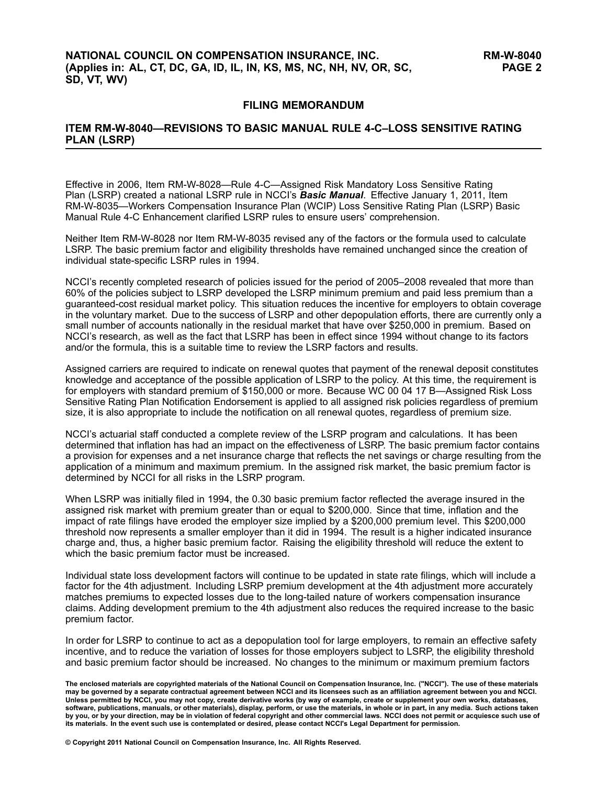### **FILING MEMORANDUM**

### **ITEM RM-W-8040—REVISIONS TO BASIC MANUAL RULE 4-C–LOSS SENSITIVE RATING PLAN (LSRP)**

Effective in 2006, Item RM-W-8028—Rule 4-C—Assigned Risk Mandatory Loss Sensitive Rating Plan (LSRP) created <sup>a</sup> national LSRP rule in NCCI's *Basic Manual*. Effective January 1, 2011, Item RM-W-8035—Workers Compensation Insurance Plan (WCIP) Loss Sensitive Rating Plan (LSRP) Basic Manual Rule 4-C Enhancement clarified LSRP rules to ensure users' comprehension.

Neither Item RM-W-8028 nor Item RM-W-8035 revised any of the factors or the formula used to calculate LSRP. The basic premium factor and eligibility thresholds have remained unchanged since the creation of individual state-specific LSRP rules in 1994.

NCCI's recently completed research of policies issued for the period of 2005–2008 revealed that more than 60% of the policies subject to LSRP developed the LSRP minimum premium and paid less premium than <sup>a</sup> guaranteed-cost residual market policy. This situation reduces the incentive for employers to obtain coverage in the voluntary market. Due to the success of LSRP and other depopulation efforts, there are currently only <sup>a</sup> small number of accounts nationally in the residual market that have over \$250,000 in premium. Based on NCCI's research, as well as the fact that LSRP has been in effect since 1994 without change to its factors and/or the formula, this is <sup>a</sup> suitable time to review the LSRP factors and results.

Assigned carriers are required to indicate on renewal quotes that payment of the renewal deposit constitutes knowledge and acceptance of the possible application of LSRP to the policy. At this time, the requirement is for employers with standard premium of \$150,000 or more. Because WC 00 04 17 B—Assigned Risk Loss Sensitive Rating Plan Notification Endorsement is applied to all assigned risk policies regardless of premium size, it is also appropriate to include the notification on all renewal quotes, regardless of premium size.

NCCI's actuarial staff conducted <sup>a</sup> complete review of the LSRP program and calculations. It has been determined that inflation has had an impact on the effectiveness of LSRP. The basic premium factor contains <sup>a</sup> provision for expenses and <sup>a</sup> net insurance charge that reflects the net savings or charge resulting from the application of <sup>a</sup> minimum and maximum premium. In the assigned risk market, the basic premium factor is determined by NCCI for all risks in the LSRP program.

When LSRP was initially filed in 1994, the 0.30 basic premium factor reflected the average insured in the assigned risk market with premium greater than or equal to \$200,000. Since that time, inflation and the impact of rate filings have eroded the employer size implied by <sup>a</sup> \$200,000 premium level. This \$200,000 threshold now represents <sup>a</sup> smaller employer than it did in 1994. The result is <sup>a</sup> higher indicated insurance charge and, thus, <sup>a</sup> higher basic premium factor. Raising the eligibility threshold will reduce the extent to which the basic premium factor must be increased.

Individual state loss development factors will continue to be updated in state rate filings, which will include <sup>a</sup> factor for the 4th adjustment. Including LSRP premium development at the 4th adjustment more accurately matches premiums to expected losses due to the long-tailed nature of workers compensation insurance claims. Adding development premium to the 4th adjustment also reduces the required increase to the basic premium factor.

In order for LSRP to continue to act as <sup>a</sup> depopulation tool for large employers, to remain an effective safety incentive, and to reduce the variation of losses for those employers subject to LSRP, the eligibility threshold and basic premium factor should be increased. No changes to the minimum or maximum premium factors

**© Copyright 2011 National Council on Compensation Insurance, Inc. All Rights Reserved.**

The enclosed materials are copyrighted materials of the National Council on Compensation Insurance, Inc. ("NCCI"). The use of these materials<br>may be governed by a separate contractual agreement between NCCI and its license Unless permitted by NCCI, you may not copy, create derivative works (by way of example, create or supplement your own works, databases, software, publications, manuals, or other materials), display, perform, or use the materials, in whole or in part, in any media. Such actions taken by you, or by your direction, may be in violation of federal copyright and other commercial laws. NCCI does not permit or acquiesce such use of its materials. In the event such use is contemplated or desired, please contact NCCI's Legal Department for permission.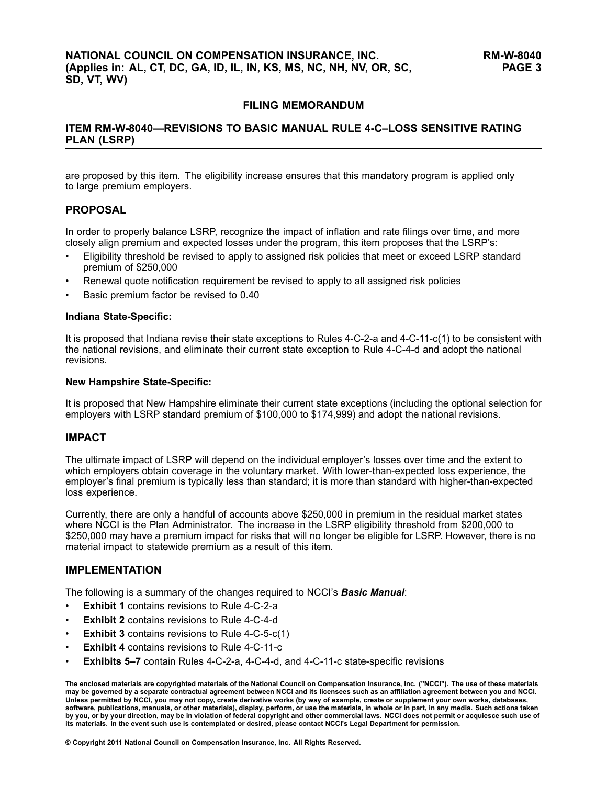### **FILING MEMORANDUM**

### **ITEM RM-W-8040—REVISIONS TO BASIC MANUAL RULE 4-C–LOSS SENSITIVE RATING PLAN (LSRP)**

are proposed by this item. The eligibility increase ensures that this mandatory program is applied only to large premium employers.

### **PROPOSAL**

In order to properly balance LSRP, recognize the impact of inflation and rate filings over time, and more closely align premium and expected losses under the program, this item proposes that the LSRP's:

- • Eligibility threshold be revised to apply to assigned risk policies that meet or exceed LSRP standard premium of \$250,000
- •Renewal quote notification requirement be revised to apply to all assigned risk policies
- •Basic premium factor be revised to 0.40

#### **Indiana State-Specific:**

It is proposed that Indiana revise their state exceptions to Rules 4-C-2-a and 4-C-11-c(1) to be consistent with the national revisions, and eliminate their current state exception to Rule 4-C-4-d and adopt the national revisions.

#### **New Hampshire State-Specific:**

It is proposed that New Hampshire eliminate their current state exceptions (including the optional selection for employers with LSRP standard premium of \$100,000 to \$174,999) and adopt the national revisions.

### **IMPACT**

The ultimate impact of LSRP will depend on the individual employer's losses over time and the extent to which employers obtain coverage in the voluntary market. With lower-than-expected loss experience, the employer's final premium is typically less than standard; it is more than standard with higher-than-expected loss experience.

Currently, there are only <sup>a</sup> handful of accounts above \$250,000 in premium in the residual market states where NCCI is the Plan Administrator. The increase in the LSRP eligibility threshold from \$200,000 to \$250,000 may have <sup>a</sup> premium impact for risks that will no longer be eligible for LSRP. However, there is no material impact to statewide premium as <sup>a</sup> result of this item.

### **IMPLEMENTATION**

The following is <sup>a</sup> summary of the changes required to NCCI's *Basic Manual*:

- •**Exhibit 1** contains revisions to Rule 4-C-2-a
- •**Exhibit 2** contains revisions to Rule 4-C-4-d
- •**Exhibit 3** contains revisions to Rule 4-C-5-c(1)
- •**Exhibit 4** contains revisions to Rule 4-C-11-c
- •**Exhibits 5–7** contain Rules 4-C-2-a, 4-C-4-d, and 4-C-11-c state-specific revisions

#### **© Copyright 2011 National Council on Compensation Insurance, Inc. All Rights Reserved.**

The enclosed materials are copyrighted materials of the National Council on Compensation Insurance, Inc. ("NCCI"). The use of these materials<br>may be governed by a separate contractual agreement between NCCI and its license Unless permitted by NCCI, you may not copy, create derivative works (by way of example, create or supplement your own works, databases, software, publications, manuals, or other materials), display, perform, or use the materials, in whole or in part, in any media. Such actions taken by you, or by your direction, may be in violation of federal copyright and other commercial laws. NCCI does not permit or acquiesce such use of its materials. In the event such use is contemplated or desired, please contact NCCI's Legal Department for permission.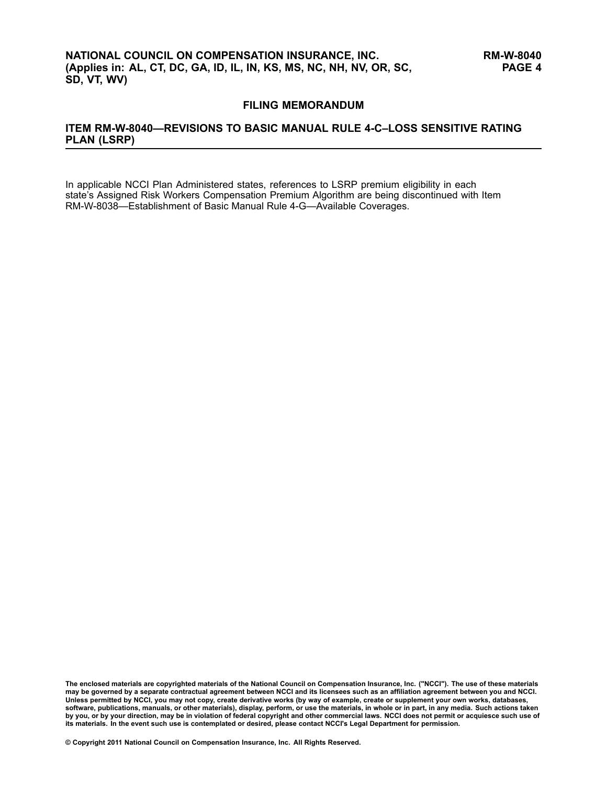### **FILING MEMORANDUM**

### **ITEM RM-W-8040—REVISIONS TO BASIC MANUAL RULE 4-C–LOSS SENSITIVE RATING PLAN (LSRP)**

In applicable NCCI Plan Administered states, references to LSRP premium eligibility in each state's Assigned Risk Workers Compensation Premium Algorithm are being discontinued with Item RM-W-8038—Establishment of Basic Manual Rule 4-G—Available Coverages.

The enclosed materials are copyrighted materials of the National Council on Compensation Insurance, Inc. ("NCCI"). The use of these materials<br>may be governed by a separate contractual agreement between NCCI and its license Unless permitted by NCCI, you may not copy, create derivative works (by way of example, create or supplement your own works, databases, software, publications, manuals, or other materials), display, perform, or use the materials, in whole or in part, in any media. Such actions taken by you, or by your direction, may be in violation of federal copyright and other commercial laws. NCCI does not permit or acquiesce such use of its materials. In the event such use is contemplated or desired, please contact NCCI's Legal Department for permission.

**© Copyright 2011 National Council on Compensation Insurance, Inc. All Rights Reserved.**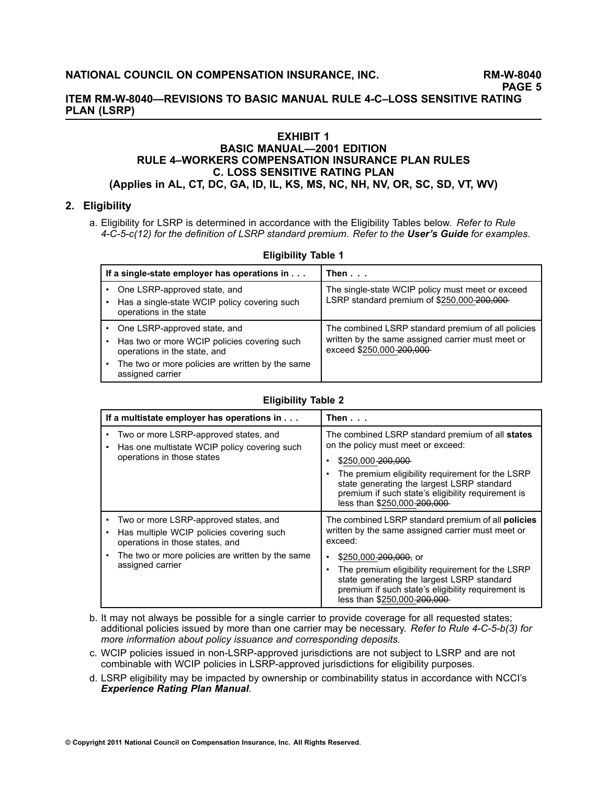### **ITEM RM-W-8040—REVISIONS TO BASIC MANUAL RULE 4-C–LOSS SENSITIVE RATING PLAN (LSRP)**

### **EXHIBIT 1**

### **BASIC MANUAL—2001 EDITION RULE 4–WORKERS COMPENSATION INSURANCE PLAN RULES C. LOSS SENSITIVE RATING PLAN (Applies in AL, CT, DC, GA, ID, IL, KS, MS, NC, NH, NV, OR, SC, SD, VT, WV)**

### **2. Eligibility**

a. Eligibility for LSRP is determined in accordance with the Eligibility Tables below. *Refer to Rule 4-C-5-c(12) for the definition of LSRP standard premium*. *Refer to the [User's](/manuscript/hyperlink.asp?docid=UsersGuide-G-Examples-Rule4-C) Guide for examples*.

| <b>LUGINILLY LANIC I</b>                                                                                    |                                                                                                                                      |  |
|-------------------------------------------------------------------------------------------------------------|--------------------------------------------------------------------------------------------------------------------------------------|--|
| If a single-state employer has operations in                                                                | Then                                                                                                                                 |  |
| One LSRP-approved state, and<br>Has a single-state WCIP policy covering such<br>operations in the state     | The single-state WCIP policy must meet or exceed<br>LSRP standard premium of \$250,000-200,000-                                      |  |
| One LSRP-approved state, and<br>Has two or more WCIP policies covering such<br>operations in the state, and | The combined LSRP standard premium of all policies<br>written by the same assigned carrier must meet or<br>exceed \$250,000-200,000- |  |
| The two or more policies are written by the same<br>assigned carrier                                        |                                                                                                                                      |  |

### **Eligibility Table 1**

### **Eligibility Table 2**

| If a multistate employer has operations in                                                                                                                                                                     | Then...                                                                                                                                                                                                                                                                                                                                            |
|----------------------------------------------------------------------------------------------------------------------------------------------------------------------------------------------------------------|----------------------------------------------------------------------------------------------------------------------------------------------------------------------------------------------------------------------------------------------------------------------------------------------------------------------------------------------------|
| Two or more LSRP-approved states, and<br>Has one multistate WCIP policy covering such<br>$\bullet$<br>operations in those states                                                                               | The combined LSRP standard premium of all states<br>on the policy must meet or exceed:<br>\$250,000 200,000<br>The premium eligibility requirement for the LSRP<br>state generating the largest LSRP standard<br>premium if such state's eligibility requirement is<br>less than \$250,000-200,000                                                 |
| Two or more LSRP-approved states, and<br>Has multiple WCIP policies covering such<br>٠<br>operations in those states, and<br>The two or more policies are written by the same<br>$\bullet$<br>assigned carrier | The combined LSRP standard premium of all <b>policies</b><br>written by the same assigned carrier must meet or<br>exceed:<br>\$250,000 $-200,000$ , or<br>The premium eligibility requirement for the LSRP<br>٠<br>state generating the largest LSRP standard<br>premium if such state's eligibility requirement is<br>less than \$250,000-200,000 |

- b. It may not always be possible for <sup>a</sup> single carrier to provide coverage for all requested states; additional policies issued by more than one carrier may be necessary. *Refer to Rule 4-C-5-b(3) for more information about policy issuance and corresponding deposits.*
- c. WCIP policies issued in non-LSRP-approved jurisdictions are not subject to LSRP and are not combinable with WCIP policies in LSRP-approved jurisdictions for eligibility purposes.
- d. LSRP eligibility may be impacted by ownership or combinability status in accordance with NCCI's *[Experience](https://www.ncci.com/Manuals/Experience2003/National/Experience2003-National.htm) Rating Plan Manual*.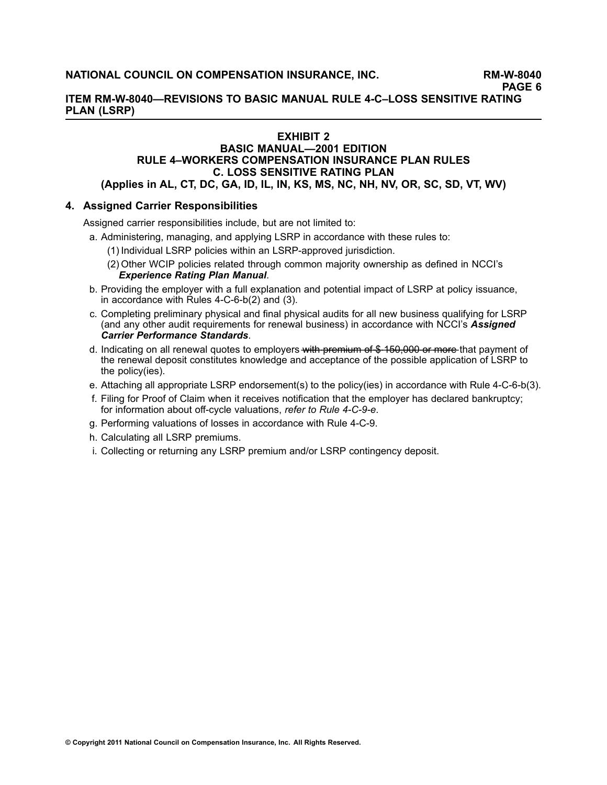**ITEM RM-W-8040—REVISIONS TO BASIC MANUAL RULE 4-C–LOSS SENSITIVE RATING PLAN (LSRP)**

### **EXHIBIT 2**

### **BASIC MANUAL—2001 EDITION RULE 4–WORKERS COMPENSATION INSURANCE PLAN RULES C. LOSS SENSITIVE RATING PLAN (Applies in AL, CT, DC, GA, ID, IL, IN, KS, MS, NC, NH, NV, OR, SC, SD, VT, WV)**

### **4. Assigned Carrier Responsibilities**

Assigned carrier responsibilities include, but are not limited to:

- a. Administering, managing, and applying LSRP in accordance with these rules to:
	- (1) Individual LSRP policies within an LSRP-approved jurisdiction.
	- (2) Other WCIP policies related through common majority ownership as defined in NCCI's *[Experience](https://www.ncci.com/Manuals/Experience2003/National/Experience2003-National.htm) Rating Plan Manual*.
- b. Providing the employer with <sup>a</sup> full explanation and potential impact of LSRP at policy issuance, in accordance with Rules 4-C-6-b(2) and (3).
- c. Completing preliminary physical and final physical audits for all new business qualifying for LSRP (and any other audit requirements for renewal business) in accordance with NCCI's *[Assigned](https://www.ncci.com/manuals/acps/national/acps-national.htm) Carrier [Performance](https://www.ncci.com/manuals/acps/national/acps-national.htm) Standards*.
- d. Indicating on all renewal quotes to employers with premium of \$450,000 or more that payment of the renewal deposit constitutes knowledge and acceptance of the possible application of LSRP to the policy(ies).
- e. Attaching all appropriate LSRP endorsement(s) to the policy(ies) in accordance with Rule 4-C-6-b(3).
- f. Filing for Proof of Claim when it receives notification that the employer has declared bankruptcy; for information about off-cycle valuations, *refer to Rule 4-C-9-e*.
- g. Performing valuations of losses in accordance with Rule 4-C-9.
- h. Calculating all LSRP premiums.
- i. Collecting or returning any LSRP premium and/or LSRP contingency deposit.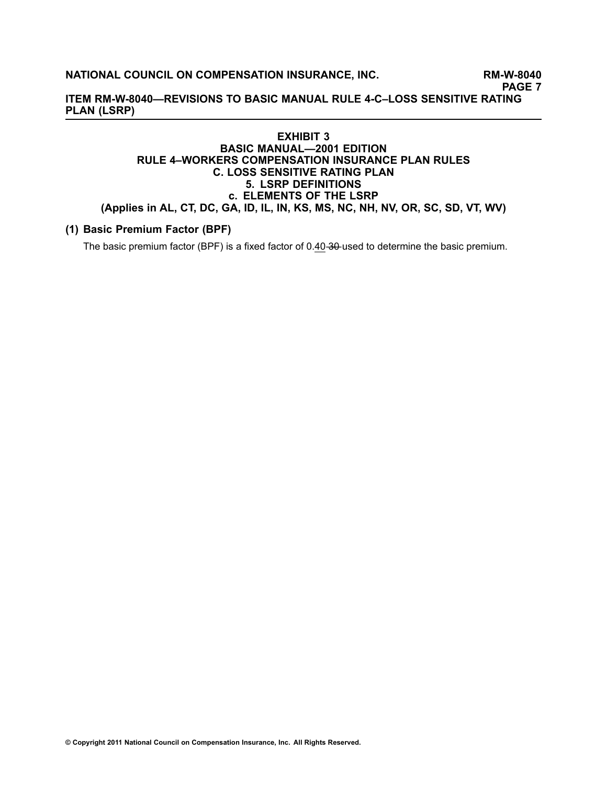### **NATIONAL COUNCIL ON COMPENSATION INSURANCE, INC. RM-W-8040**

**PAGE 7**

**ITEM RM-W-8040—REVISIONS TO BASIC MANUAL RULE 4-C–LOSS SENSITIVE RATING PLAN (LSRP)**

### **EXHIBIT 3 BASIC MANUAL—2001 EDITION RULE 4–WORKERS COMPENSATION INSURANCE PLAN RULES C. LOSS SENSITIVE RATING PLAN 5. LSRP DEFINITIONS c. ELEMENTS OF THE LSRP (Applies in AL, CT, DC, GA, ID, IL, IN, KS, MS, NC, NH, NV, OR, SC, SD, VT, WV)**

### **(1) Basic Premium Factor (BPF)**

The basic premium factor (BPF) is a fixed factor of 0.40-30-used to determine the basic premium.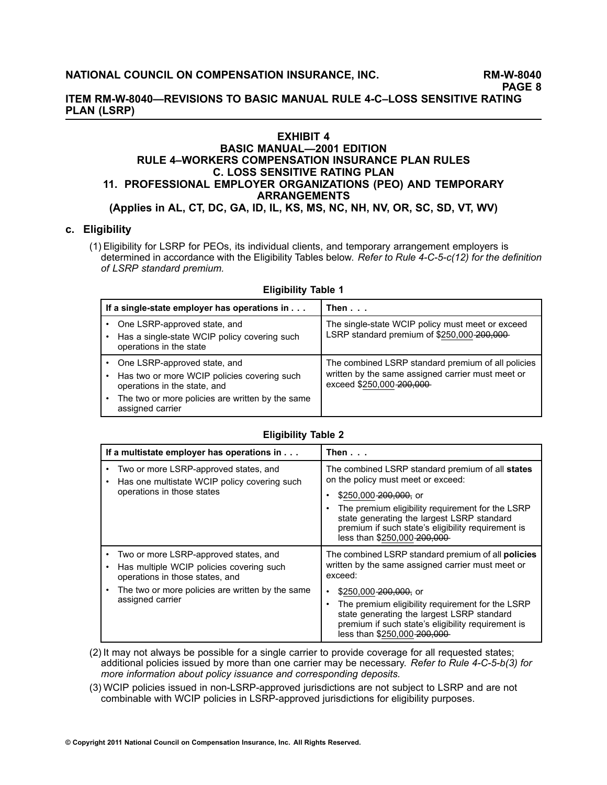**ITEM RM-W-8040—REVISIONS TO BASIC MANUAL RULE 4-C–LOSS SENSITIVE RATING PLAN (LSRP)**

## **EXHIBIT 4**

### **BASIC MANUAL—2001 EDITION RULE 4–WORKERS COMPENSATION INSURANCE PLAN RULES C. LOSS SENSITIVE RATING PLAN 11. PROFESSIONAL EMPLOYER ORGANIZATIONS (PEO) AND TEMPORARY ARRANGEMENTS**

**(Applies in AL, CT, DC, GA, ID, IL, KS, MS, NC, NH, NV, OR, SC, SD, VT, WV)**

### **c. Eligibility**

(1) Eligibility for LSRP for PEOs, its individual clients, and temporary arrangement employers is determined in accordance with the Eligibility Tables below. *Refer to Rule 4-C-5-c(12) for the definition of LSRP standard premium.*

| If a single-state employer has operations in                                                                | Then $\ldots$                                                                                                                       |
|-------------------------------------------------------------------------------------------------------------|-------------------------------------------------------------------------------------------------------------------------------------|
| One LSRP-approved state, and<br>Has a single-state WCIP policy covering such<br>operations in the state     | The single-state WCIP policy must meet or exceed<br>LSRP standard premium of \$250,000-200,000-                                     |
| One LSRP-approved state, and<br>Has two or more WCIP policies covering such<br>operations in the state, and | The combined LSRP standard premium of all policies<br>written by the same assigned carrier must meet or<br>exceed \$250,000-200,000 |
| The two or more policies are written by the same<br>assigned carrier                                        |                                                                                                                                     |

#### **Eligibility Table 1**

#### **Eligibility Table 2**

| If a multistate employer has operations in                                                                                                                                                                | Then...                                                                                                                                                                                                                                                                                                                                        |
|-----------------------------------------------------------------------------------------------------------------------------------------------------------------------------------------------------------|------------------------------------------------------------------------------------------------------------------------------------------------------------------------------------------------------------------------------------------------------------------------------------------------------------------------------------------------|
| Two or more LSRP-approved states, and<br>Has one multistate WCIP policy covering such<br>operations in those states                                                                                       | The combined LSRP standard premium of all states<br>on the policy must meet or exceed:<br>\$250,000 200,000, or<br>The premium eligibility requirement for the LSRP<br>state generating the largest LSRP standard<br>premium if such state's eligibility requirement is<br>less than \$250,000-200,000                                         |
| Two or more LSRP-approved states, and<br>$\bullet$<br>Has multiple WCIP policies covering such<br>operations in those states, and<br>The two or more policies are written by the same<br>assigned carrier | The combined LSRP standard premium of all <b>policies</b><br>written by the same assigned carrier must meet or<br>exceed:<br>\$250,000 200,000, or<br>٠<br>The premium eligibility requirement for the LSRP<br>state generating the largest LSRP standard<br>premium if such state's eligibility requirement is<br>less than \$250,000-200,000 |

(2) It may not always be possible for <sup>a</sup> single carrier to provide coverage for all requested states; additional policies issued by more than one carrier may be necessary. *Refer to Rule 4-C-5-b(3) for more information about policy issuance and corresponding deposits.*

(3) WCIP policies issued in non-LSRP-approved jurisdictions are not subject to LSRP and are not combinable with WCIP policies in LSRP-approved jurisdictions for eligibility purposes.